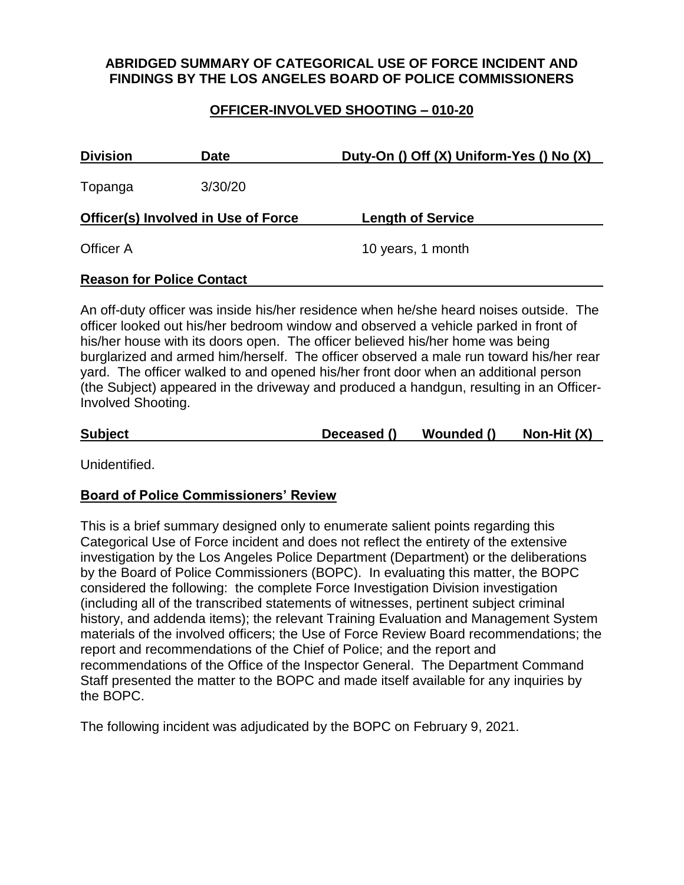## **ABRIDGED SUMMARY OF CATEGORICAL USE OF FORCE INCIDENT AND FINDINGS BY THE LOS ANGELES BOARD OF POLICE COMMISSIONERS**

#### **OFFICER-INVOLVED SHOOTING – 010-20**

| <b>Division</b><br><b>Date</b>             |         | Duty-On () Off (X) Uniform-Yes () No (X) |  |
|--------------------------------------------|---------|------------------------------------------|--|
| Topanga                                    | 3/30/20 |                                          |  |
| <b>Officer(s) Involved in Use of Force</b> |         | <b>Length of Service</b>                 |  |
| <b>Officer A</b>                           |         | 10 years, 1 month                        |  |
| <b>Reason for Police Contact</b>           |         |                                          |  |

An off-duty officer was inside his/her residence when he/she heard noises outside. The officer looked out his/her bedroom window and observed a vehicle parked in front of his/her house with its doors open. The officer believed his/her home was being burglarized and armed him/herself. The officer observed a male run toward his/her rear yard. The officer walked to and opened his/her front door when an additional person (the Subject) appeared in the driveway and produced a handgun, resulting in an Officer-Involved Shooting.

| <b>Subject</b> | Deceased () | Wounded () | Non-Hit $(X)$ |
|----------------|-------------|------------|---------------|
|                |             |            |               |

Unidentified.

#### **Board of Police Commissioners' Review**

This is a brief summary designed only to enumerate salient points regarding this Categorical Use of Force incident and does not reflect the entirety of the extensive investigation by the Los Angeles Police Department (Department) or the deliberations by the Board of Police Commissioners (BOPC). In evaluating this matter, the BOPC considered the following: the complete Force Investigation Division investigation (including all of the transcribed statements of witnesses, pertinent subject criminal history, and addenda items); the relevant Training Evaluation and Management System materials of the involved officers; the Use of Force Review Board recommendations; the report and recommendations of the Chief of Police; and the report and recommendations of the Office of the Inspector General. The Department Command Staff presented the matter to the BOPC and made itself available for any inquiries by the BOPC.

The following incident was adjudicated by the BOPC on February 9, 2021.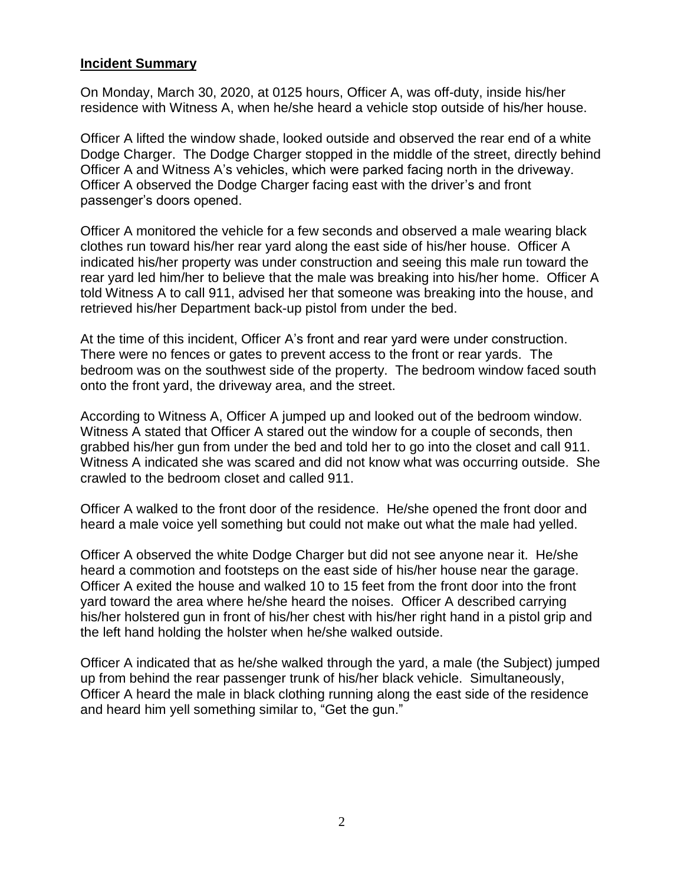#### **Incident Summary**

On Monday, March 30, 2020, at 0125 hours, Officer A, was off-duty, inside his/her residence with Witness A, when he/she heard a vehicle stop outside of his/her house.

Officer A lifted the window shade, looked outside and observed the rear end of a white Dodge Charger. The Dodge Charger stopped in the middle of the street, directly behind Officer A and Witness A's vehicles, which were parked facing north in the driveway. Officer A observed the Dodge Charger facing east with the driver's and front passenger's doors opened.

Officer A monitored the vehicle for a few seconds and observed a male wearing black clothes run toward his/her rear yard along the east side of his/her house. Officer A indicated his/her property was under construction and seeing this male run toward the rear yard led him/her to believe that the male was breaking into his/her home. Officer A told Witness A to call 911, advised her that someone was breaking into the house, and retrieved his/her Department back-up pistol from under the bed.

At the time of this incident, Officer A's front and rear yard were under construction. There were no fences or gates to prevent access to the front or rear yards. The bedroom was on the southwest side of the property. The bedroom window faced south onto the front yard, the driveway area, and the street.

According to Witness A, Officer A jumped up and looked out of the bedroom window. Witness A stated that Officer A stared out the window for a couple of seconds, then grabbed his/her gun from under the bed and told her to go into the closet and call 911. Witness A indicated she was scared and did not know what was occurring outside. She crawled to the bedroom closet and called 911.

Officer A walked to the front door of the residence. He/she opened the front door and heard a male voice yell something but could not make out what the male had yelled.

Officer A observed the white Dodge Charger but did not see anyone near it. He/she heard a commotion and footsteps on the east side of his/her house near the garage. Officer A exited the house and walked 10 to 15 feet from the front door into the front yard toward the area where he/she heard the noises. Officer A described carrying his/her holstered gun in front of his/her chest with his/her right hand in a pistol grip and the left hand holding the holster when he/she walked outside.

Officer A indicated that as he/she walked through the yard, a male (the Subject) jumped up from behind the rear passenger trunk of his/her black vehicle. Simultaneously, Officer A heard the male in black clothing running along the east side of the residence and heard him yell something similar to, "Get the gun."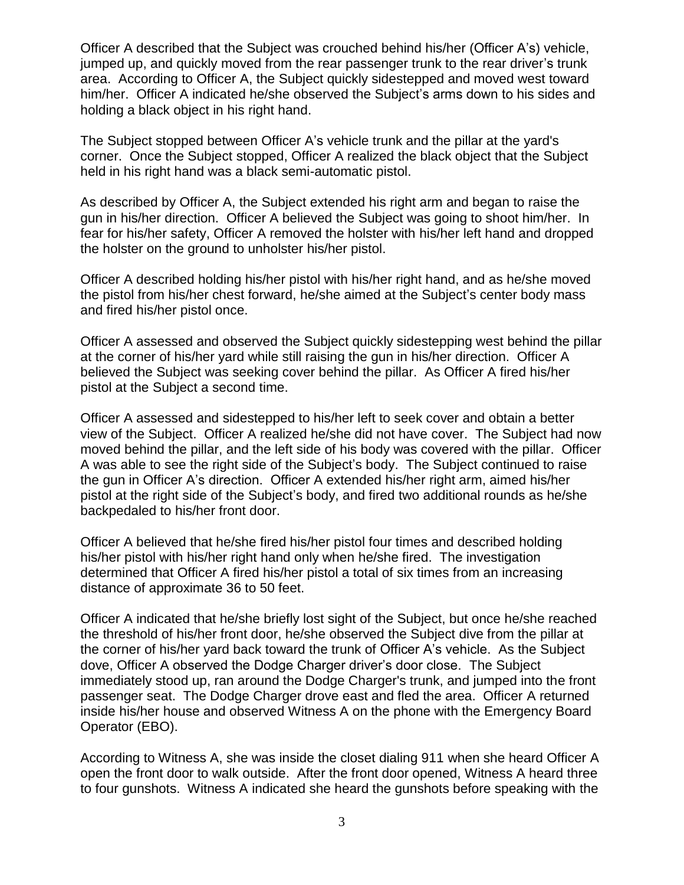Officer A described that the Subject was crouched behind his/her (Officer A's) vehicle, jumped up, and quickly moved from the rear passenger trunk to the rear driver's trunk area. According to Officer A, the Subject quickly sidestepped and moved west toward him/her. Officer A indicated he/she observed the Subject's arms down to his sides and holding a black object in his right hand.

The Subject stopped between Officer A's vehicle trunk and the pillar at the yard's corner. Once the Subject stopped, Officer A realized the black object that the Subject held in his right hand was a black semi-automatic pistol.

As described by Officer A, the Subject extended his right arm and began to raise the gun in his/her direction. Officer A believed the Subject was going to shoot him/her. In fear for his/her safety, Officer A removed the holster with his/her left hand and dropped the holster on the ground to unholster his/her pistol.

Officer A described holding his/her pistol with his/her right hand, and as he/she moved the pistol from his/her chest forward, he/she aimed at the Subject's center body mass and fired his/her pistol once.

Officer A assessed and observed the Subject quickly sidestepping west behind the pillar at the corner of his/her yard while still raising the gun in his/her direction. Officer A believed the Subject was seeking cover behind the pillar. As Officer A fired his/her pistol at the Subject a second time.

Officer A assessed and sidestepped to his/her left to seek cover and obtain a better view of the Subject. Officer A realized he/she did not have cover. The Subject had now moved behind the pillar, and the left side of his body was covered with the pillar. Officer A was able to see the right side of the Subject's body. The Subject continued to raise the gun in Officer A's direction. Officer A extended his/her right arm, aimed his/her pistol at the right side of the Subject's body, and fired two additional rounds as he/she backpedaled to his/her front door.

Officer A believed that he/she fired his/her pistol four times and described holding his/her pistol with his/her right hand only when he/she fired. The investigation determined that Officer A fired his/her pistol a total of six times from an increasing distance of approximate 36 to 50 feet.

Officer A indicated that he/she briefly lost sight of the Subject, but once he/she reached the threshold of his/her front door, he/she observed the Subject dive from the pillar at the corner of his/her yard back toward the trunk of Officer A's vehicle. As the Subject dove, Officer A observed the Dodge Charger driver's door close. The Subject immediately stood up, ran around the Dodge Charger's trunk, and jumped into the front passenger seat. The Dodge Charger drove east and fled the area. Officer A returned inside his/her house and observed Witness A on the phone with the Emergency Board Operator (EBO).

According to Witness A, she was inside the closet dialing 911 when she heard Officer A open the front door to walk outside. After the front door opened, Witness A heard three to four gunshots. Witness A indicated she heard the gunshots before speaking with the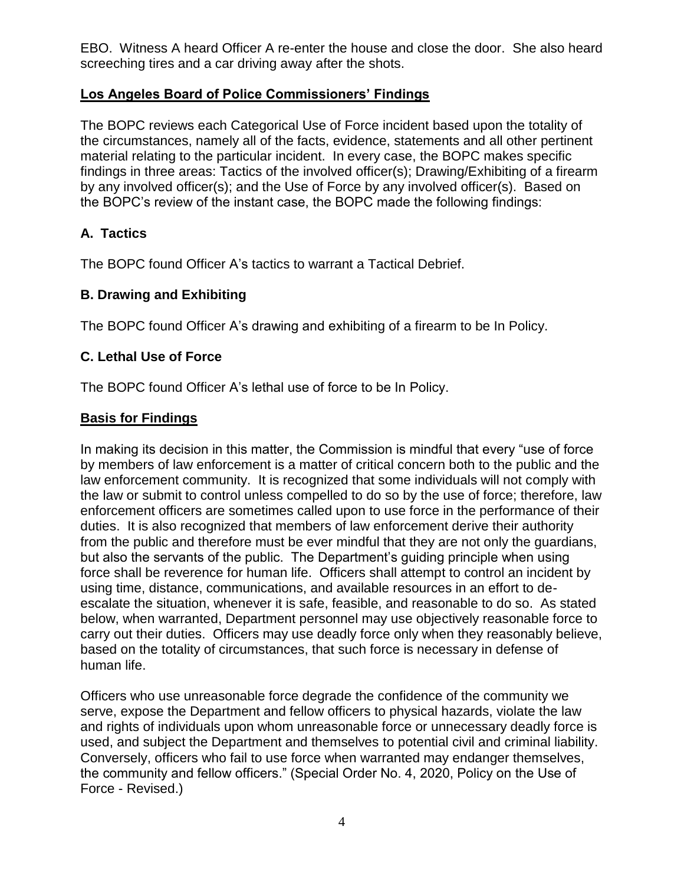EBO. Witness A heard Officer A re-enter the house and close the door. She also heard screeching tires and a car driving away after the shots.

## **Los Angeles Board of Police Commissioners' Findings**

The BOPC reviews each Categorical Use of Force incident based upon the totality of the circumstances, namely all of the facts, evidence, statements and all other pertinent material relating to the particular incident. In every case, the BOPC makes specific findings in three areas: Tactics of the involved officer(s); Drawing/Exhibiting of a firearm by any involved officer(s); and the Use of Force by any involved officer(s). Based on the BOPC's review of the instant case, the BOPC made the following findings:

# **A. Tactics**

The BOPC found Officer A's tactics to warrant a Tactical Debrief.

## **B. Drawing and Exhibiting**

The BOPC found Officer A's drawing and exhibiting of a firearm to be In Policy.

# **C. Lethal Use of Force**

The BOPC found Officer A's lethal use of force to be In Policy.

## **Basis for Findings**

In making its decision in this matter, the Commission is mindful that every "use of force by members of law enforcement is a matter of critical concern both to the public and the law enforcement community. It is recognized that some individuals will not comply with the law or submit to control unless compelled to do so by the use of force; therefore, law enforcement officers are sometimes called upon to use force in the performance of their duties. It is also recognized that members of law enforcement derive their authority from the public and therefore must be ever mindful that they are not only the guardians, but also the servants of the public. The Department's guiding principle when using force shall be reverence for human life. Officers shall attempt to control an incident by using time, distance, communications, and available resources in an effort to deescalate the situation, whenever it is safe, feasible, and reasonable to do so. As stated below, when warranted, Department personnel may use objectively reasonable force to carry out their duties. Officers may use deadly force only when they reasonably believe, based on the totality of circumstances, that such force is necessary in defense of human life.

Officers who use unreasonable force degrade the confidence of the community we serve, expose the Department and fellow officers to physical hazards, violate the law and rights of individuals upon whom unreasonable force or unnecessary deadly force is used, and subject the Department and themselves to potential civil and criminal liability. Conversely, officers who fail to use force when warranted may endanger themselves, the community and fellow officers." (Special Order No. 4, 2020, Policy on the Use of Force - Revised.)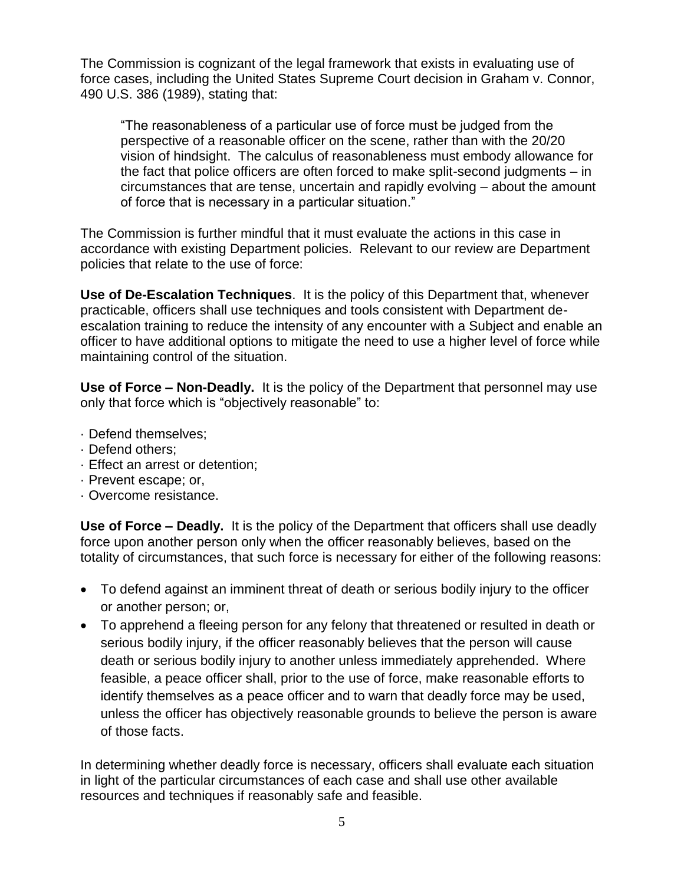The Commission is cognizant of the legal framework that exists in evaluating use of force cases, including the United States Supreme Court decision in Graham v. Connor, 490 U.S. 386 (1989), stating that:

"The reasonableness of a particular use of force must be judged from the perspective of a reasonable officer on the scene, rather than with the 20/20 vision of hindsight. The calculus of reasonableness must embody allowance for the fact that police officers are often forced to make split-second judgments – in circumstances that are tense, uncertain and rapidly evolving – about the amount of force that is necessary in a particular situation."

The Commission is further mindful that it must evaluate the actions in this case in accordance with existing Department policies. Relevant to our review are Department policies that relate to the use of force:

**Use of De-Escalation Techniques**. It is the policy of this Department that, whenever practicable, officers shall use techniques and tools consistent with Department deescalation training to reduce the intensity of any encounter with a Subject and enable an officer to have additional options to mitigate the need to use a higher level of force while maintaining control of the situation.

**Use of Force – Non-Deadly.** It is the policy of the Department that personnel may use only that force which is "objectively reasonable" to:

- · Defend themselves;
- · Defend others;
- · Effect an arrest or detention;
- · Prevent escape; or,
- · Overcome resistance.

**Use of Force – Deadly.** It is the policy of the Department that officers shall use deadly force upon another person only when the officer reasonably believes, based on the totality of circumstances, that such force is necessary for either of the following reasons:

- To defend against an imminent threat of death or serious bodily injury to the officer or another person; or,
- To apprehend a fleeing person for any felony that threatened or resulted in death or serious bodily injury, if the officer reasonably believes that the person will cause death or serious bodily injury to another unless immediately apprehended. Where feasible, a peace officer shall, prior to the use of force, make reasonable efforts to identify themselves as a peace officer and to warn that deadly force may be used, unless the officer has objectively reasonable grounds to believe the person is aware of those facts.

In determining whether deadly force is necessary, officers shall evaluate each situation in light of the particular circumstances of each case and shall use other available resources and techniques if reasonably safe and feasible.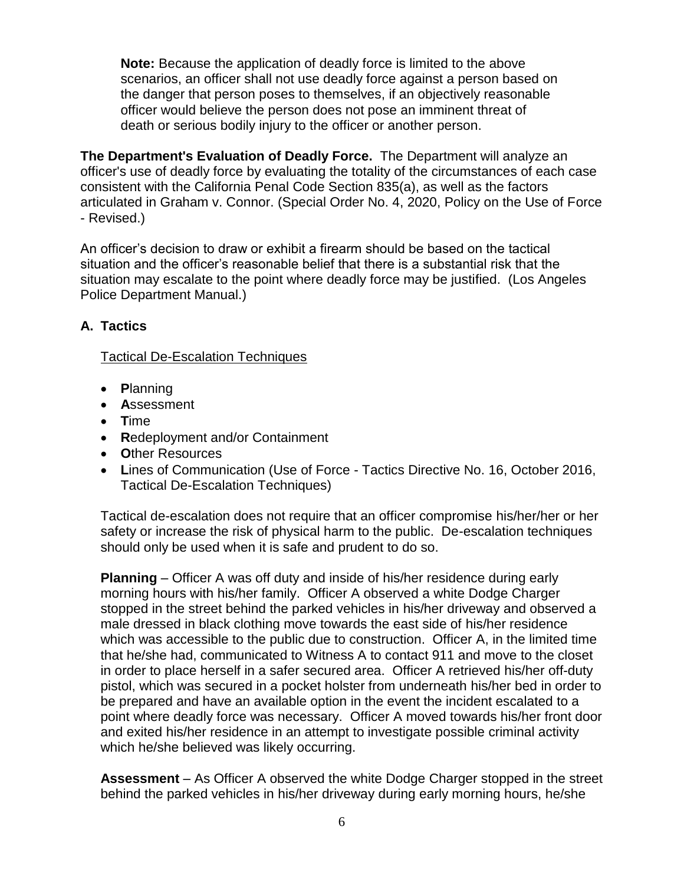**Note:** Because the application of deadly force is limited to the above scenarios, an officer shall not use deadly force against a person based on the danger that person poses to themselves, if an objectively reasonable officer would believe the person does not pose an imminent threat of death or serious bodily injury to the officer or another person.

**The Department's Evaluation of Deadly Force.** The Department will analyze an officer's use of deadly force by evaluating the totality of the circumstances of each case consistent with the California Penal Code Section 835(a), as well as the factors articulated in Graham v. Connor. (Special Order No. 4, 2020, Policy on the Use of Force - Revised.)

An officer's decision to draw or exhibit a firearm should be based on the tactical situation and the officer's reasonable belief that there is a substantial risk that the situation may escalate to the point where deadly force may be justified. (Los Angeles Police Department Manual.)

## **A. Tactics**

#### Tactical De-Escalation Techniques

- **P**lanning
- **A**ssessment
- **T**ime
- **R**edeployment and/or Containment
- **O**ther Resources
- **L**ines of Communication (Use of Force Tactics Directive No. 16, October 2016, Tactical De-Escalation Techniques)

Tactical de-escalation does not require that an officer compromise his/her/her or her safety or increase the risk of physical harm to the public. De-escalation techniques should only be used when it is safe and prudent to do so.

**Planning** – Officer A was off duty and inside of his/her residence during early morning hours with his/her family. Officer A observed a white Dodge Charger stopped in the street behind the parked vehicles in his/her driveway and observed a male dressed in black clothing move towards the east side of his/her residence which was accessible to the public due to construction. Officer A, in the limited time that he/she had, communicated to Witness A to contact 911 and move to the closet in order to place herself in a safer secured area. Officer A retrieved his/her off-duty pistol, which was secured in a pocket holster from underneath his/her bed in order to be prepared and have an available option in the event the incident escalated to a point where deadly force was necessary. Officer A moved towards his/her front door and exited his/her residence in an attempt to investigate possible criminal activity which he/she believed was likely occurring.

**Assessment** – As Officer A observed the white Dodge Charger stopped in the street behind the parked vehicles in his/her driveway during early morning hours, he/she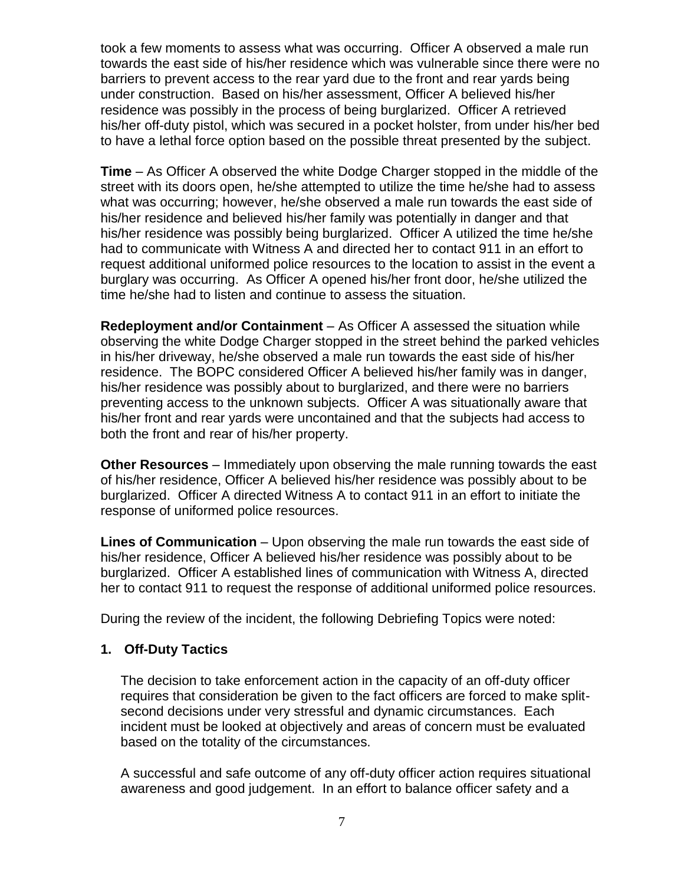took a few moments to assess what was occurring. Officer A observed a male run towards the east side of his/her residence which was vulnerable since there were no barriers to prevent access to the rear yard due to the front and rear yards being under construction. Based on his/her assessment, Officer A believed his/her residence was possibly in the process of being burglarized. Officer A retrieved his/her off-duty pistol, which was secured in a pocket holster, from under his/her bed to have a lethal force option based on the possible threat presented by the subject.

**Time** – As Officer A observed the white Dodge Charger stopped in the middle of the street with its doors open, he/she attempted to utilize the time he/she had to assess what was occurring; however, he/she observed a male run towards the east side of his/her residence and believed his/her family was potentially in danger and that his/her residence was possibly being burglarized. Officer A utilized the time he/she had to communicate with Witness A and directed her to contact 911 in an effort to request additional uniformed police resources to the location to assist in the event a burglary was occurring. As Officer A opened his/her front door, he/she utilized the time he/she had to listen and continue to assess the situation.

**Redeployment and/or Containment** – As Officer A assessed the situation while observing the white Dodge Charger stopped in the street behind the parked vehicles in his/her driveway, he/she observed a male run towards the east side of his/her residence. The BOPC considered Officer A believed his/her family was in danger, his/her residence was possibly about to burglarized, and there were no barriers preventing access to the unknown subjects. Officer A was situationally aware that his/her front and rear yards were uncontained and that the subjects had access to both the front and rear of his/her property.

**Other Resources** – Immediately upon observing the male running towards the east of his/her residence, Officer A believed his/her residence was possibly about to be burglarized. Officer A directed Witness A to contact 911 in an effort to initiate the response of uniformed police resources.

**Lines of Communication** – Upon observing the male run towards the east side of his/her residence, Officer A believed his/her residence was possibly about to be burglarized. Officer A established lines of communication with Witness A, directed her to contact 911 to request the response of additional uniformed police resources.

During the review of the incident, the following Debriefing Topics were noted:

#### **1. Off-Duty Tactics**

The decision to take enforcement action in the capacity of an off-duty officer requires that consideration be given to the fact officers are forced to make splitsecond decisions under very stressful and dynamic circumstances. Each incident must be looked at objectively and areas of concern must be evaluated based on the totality of the circumstances.

A successful and safe outcome of any off-duty officer action requires situational awareness and good judgement. In an effort to balance officer safety and a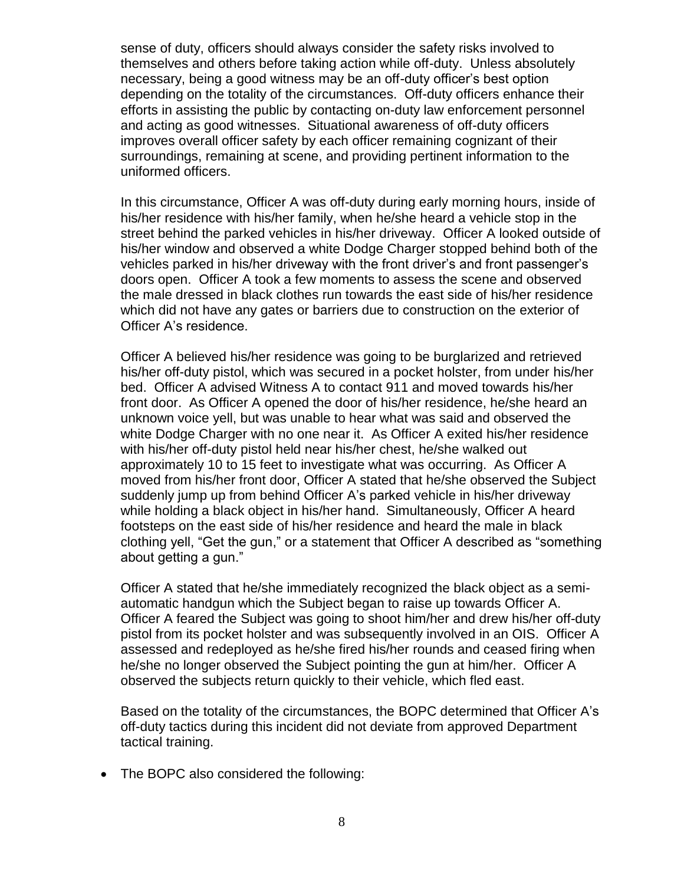sense of duty, officers should always consider the safety risks involved to themselves and others before taking action while off-duty. Unless absolutely necessary, being a good witness may be an off-duty officer's best option depending on the totality of the circumstances. Off-duty officers enhance their efforts in assisting the public by contacting on-duty law enforcement personnel and acting as good witnesses. Situational awareness of off-duty officers improves overall officer safety by each officer remaining cognizant of their surroundings, remaining at scene, and providing pertinent information to the uniformed officers.

In this circumstance, Officer A was off-duty during early morning hours, inside of his/her residence with his/her family, when he/she heard a vehicle stop in the street behind the parked vehicles in his/her driveway. Officer A looked outside of his/her window and observed a white Dodge Charger stopped behind both of the vehicles parked in his/her driveway with the front driver's and front passenger's doors open. Officer A took a few moments to assess the scene and observed the male dressed in black clothes run towards the east side of his/her residence which did not have any gates or barriers due to construction on the exterior of Officer A's residence.

Officer A believed his/her residence was going to be burglarized and retrieved his/her off-duty pistol, which was secured in a pocket holster, from under his/her bed. Officer A advised Witness A to contact 911 and moved towards his/her front door. As Officer A opened the door of his/her residence, he/she heard an unknown voice yell, but was unable to hear what was said and observed the white Dodge Charger with no one near it. As Officer A exited his/her residence with his/her off-duty pistol held near his/her chest, he/she walked out approximately 10 to 15 feet to investigate what was occurring. As Officer A moved from his/her front door, Officer A stated that he/she observed the Subject suddenly jump up from behind Officer A's parked vehicle in his/her driveway while holding a black object in his/her hand. Simultaneously, Officer A heard footsteps on the east side of his/her residence and heard the male in black clothing yell, "Get the gun," or a statement that Officer A described as "something about getting a gun."

Officer A stated that he/she immediately recognized the black object as a semiautomatic handgun which the Subject began to raise up towards Officer A. Officer A feared the Subject was going to shoot him/her and drew his/her off-duty pistol from its pocket holster and was subsequently involved in an OIS. Officer A assessed and redeployed as he/she fired his/her rounds and ceased firing when he/she no longer observed the Subject pointing the gun at him/her. Officer A observed the subjects return quickly to their vehicle, which fled east.

Based on the totality of the circumstances, the BOPC determined that Officer A's off-duty tactics during this incident did not deviate from approved Department tactical training.

• The BOPC also considered the following: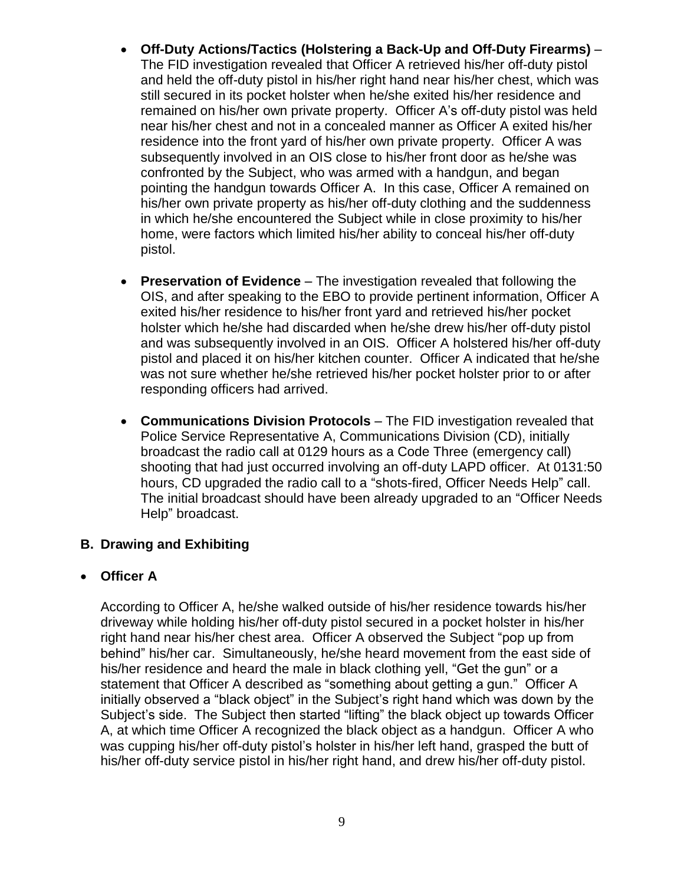- **Off-Duty Actions/Tactics (Holstering a Back-Up and Off-Duty Firearms)** The FID investigation revealed that Officer A retrieved his/her off-duty pistol and held the off-duty pistol in his/her right hand near his/her chest, which was still secured in its pocket holster when he/she exited his/her residence and remained on his/her own private property. Officer A's off-duty pistol was held near his/her chest and not in a concealed manner as Officer A exited his/her residence into the front yard of his/her own private property. Officer A was subsequently involved in an OIS close to his/her front door as he/she was confronted by the Subject, who was armed with a handgun, and began pointing the handgun towards Officer A. In this case, Officer A remained on his/her own private property as his/her off-duty clothing and the suddenness in which he/she encountered the Subject while in close proximity to his/her home, were factors which limited his/her ability to conceal his/her off-duty pistol.
- **Preservation of Evidence** The investigation revealed that following the OIS, and after speaking to the EBO to provide pertinent information, Officer A exited his/her residence to his/her front yard and retrieved his/her pocket holster which he/she had discarded when he/she drew his/her off-duty pistol and was subsequently involved in an OIS. Officer A holstered his/her off-duty pistol and placed it on his/her kitchen counter. Officer A indicated that he/she was not sure whether he/she retrieved his/her pocket holster prior to or after responding officers had arrived.
- **Communications Division Protocols**  The FID investigation revealed that Police Service Representative A, Communications Division (CD), initially broadcast the radio call at 0129 hours as a Code Three (emergency call) shooting that had just occurred involving an off-duty LAPD officer. At 0131:50 hours, CD upgraded the radio call to a "shots-fired, Officer Needs Help" call. The initial broadcast should have been already upgraded to an "Officer Needs Help" broadcast.

#### **B. Drawing and Exhibiting**

#### • **Officer A**

According to Officer A, he/she walked outside of his/her residence towards his/her driveway while holding his/her off-duty pistol secured in a pocket holster in his/her right hand near his/her chest area. Officer A observed the Subject "pop up from behind" his/her car. Simultaneously, he/she heard movement from the east side of his/her residence and heard the male in black clothing yell, "Get the gun" or a statement that Officer A described as "something about getting a gun." Officer A initially observed a "black object" in the Subject's right hand which was down by the Subject's side. The Subject then started "lifting" the black object up towards Officer A, at which time Officer A recognized the black object as a handgun. Officer A who was cupping his/her off-duty pistol's holster in his/her left hand, grasped the butt of his/her off-duty service pistol in his/her right hand, and drew his/her off-duty pistol.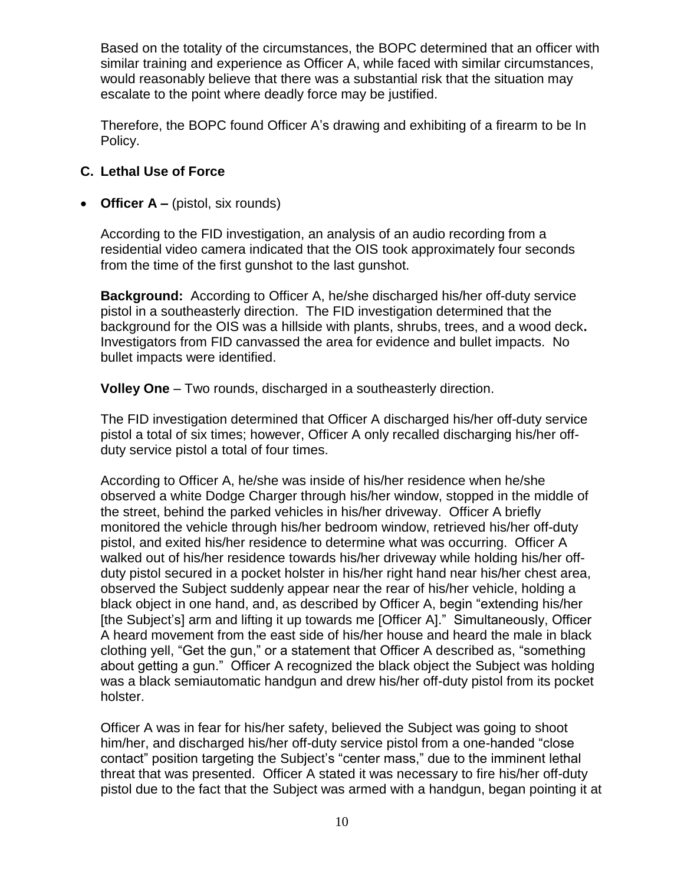Based on the totality of the circumstances, the BOPC determined that an officer with similar training and experience as Officer A, while faced with similar circumstances, would reasonably believe that there was a substantial risk that the situation may escalate to the point where deadly force may be justified.

Therefore, the BOPC found Officer A's drawing and exhibiting of a firearm to be In Policy.

## **C. Lethal Use of Force**

• **Officer A** – (pistol, six rounds)

According to the FID investigation, an analysis of an audio recording from a residential video camera indicated that the OIS took approximately four seconds from the time of the first gunshot to the last gunshot.

**Background:** According to Officer A, he/she discharged his/her off-duty service pistol in a southeasterly direction. The FID investigation determined that the background for the OIS was a hillside with plants, shrubs, trees, and a wood deck**.**  Investigators from FID canvassed the area for evidence and bullet impacts. No bullet impacts were identified.

**Volley One** – Two rounds, discharged in a southeasterly direction.

The FID investigation determined that Officer A discharged his/her off-duty service pistol a total of six times; however, Officer A only recalled discharging his/her offduty service pistol a total of four times.

According to Officer A, he/she was inside of his/her residence when he/she observed a white Dodge Charger through his/her window, stopped in the middle of the street, behind the parked vehicles in his/her driveway. Officer A briefly monitored the vehicle through his/her bedroom window, retrieved his/her off-duty pistol, and exited his/her residence to determine what was occurring. Officer A walked out of his/her residence towards his/her driveway while holding his/her offduty pistol secured in a pocket holster in his/her right hand near his/her chest area, observed the Subject suddenly appear near the rear of his/her vehicle, holding a black object in one hand, and, as described by Officer A, begin "extending his/her [the Subject's] arm and lifting it up towards me [Officer A]." Simultaneously, Officer A heard movement from the east side of his/her house and heard the male in black clothing yell, "Get the gun," or a statement that Officer A described as, "something about getting a gun." Officer A recognized the black object the Subject was holding was a black semiautomatic handgun and drew his/her off-duty pistol from its pocket holster.

Officer A was in fear for his/her safety, believed the Subject was going to shoot him/her, and discharged his/her off-duty service pistol from a one-handed "close contact" position targeting the Subject's "center mass," due to the imminent lethal threat that was presented. Officer A stated it was necessary to fire his/her off-duty pistol due to the fact that the Subject was armed with a handgun, began pointing it at